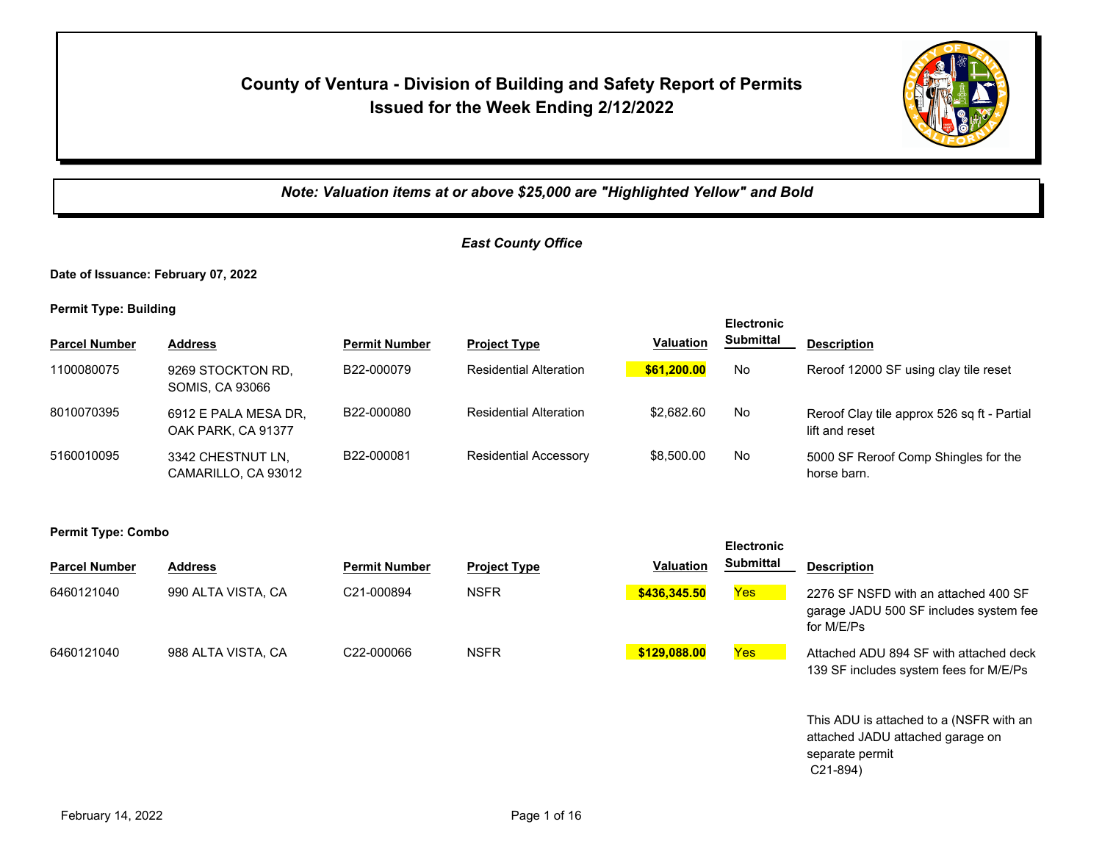# **County of Ventura - Division of Building and Safety Report of Permits Issued for the Week Ending 2/12/2022**



C21-894)

*Note: Valuation items at or above \$25,000 are "Highlighted Yellow" and Bold*

## *East County Office*

**Date of Issuance: February 07, 2022**

**Permit Type: Building**

**Permit Type: Combo**

| <b>Electronic</b>    |                                             |                      |                               |                  |           |                                                               |
|----------------------|---------------------------------------------|----------------------|-------------------------------|------------------|-----------|---------------------------------------------------------------|
| <b>Parcel Number</b> | <b>Address</b>                              | <b>Permit Number</b> | <b>Project Type</b>           | <b>Valuation</b> | Submittal | <b>Description</b>                                            |
| 1100080075           | 9269 STOCKTON RD,<br><b>SOMIS, CA 93066</b> | B22-000079           | <b>Residential Alteration</b> | \$61,200.00      | No        | Reroof 12000 SF using clay tile reset                         |
| 8010070395           | 6912 E PALA MESA DR,<br>OAK PARK, CA 91377  | B22-000080           | <b>Residential Alteration</b> | \$2.682.60       | No        | Reroof Clay tile approx 526 sq ft - Partial<br>lift and reset |
| 5160010095           | 3342 CHESTNUT LN,<br>CAMARILLO, CA 93012    | B22-000081           | <b>Residential Accessory</b>  | \$8,500.00       | No        | 5000 SF Reroof Comp Shingles for the<br>horse barn.           |

| . .                  |                    |                         |                     |                  | <b>Electronic</b> |                                                                                                |
|----------------------|--------------------|-------------------------|---------------------|------------------|-------------------|------------------------------------------------------------------------------------------------|
| <b>Parcel Number</b> | <b>Address</b>     | <b>Permit Number</b>    | <b>Project Type</b> | <b>Valuation</b> | <b>Submittal</b>  | <b>Description</b>                                                                             |
| 6460121040           | 990 ALTA VISTA, CA | C21-000894              | <b>NSFR</b>         | \$436,345.50     | Yes <sub>l</sub>  | 2276 SF NSFD with an attached 400 SF<br>garage JADU 500 SF includes system fee<br>for M/E/Ps   |
| 6460121040           | 988 ALTA VISTA, CA | C <sub>22</sub> -000066 | <b>NSFR</b>         | \$129,088.00     | Yes               | Attached ADU 894 SF with attached deck<br>139 SF includes system fees for M/E/Ps               |
|                      |                    |                         |                     |                  |                   | This ADU is attached to a (NSFR with an<br>attached JADU attached garage on<br>separate permit |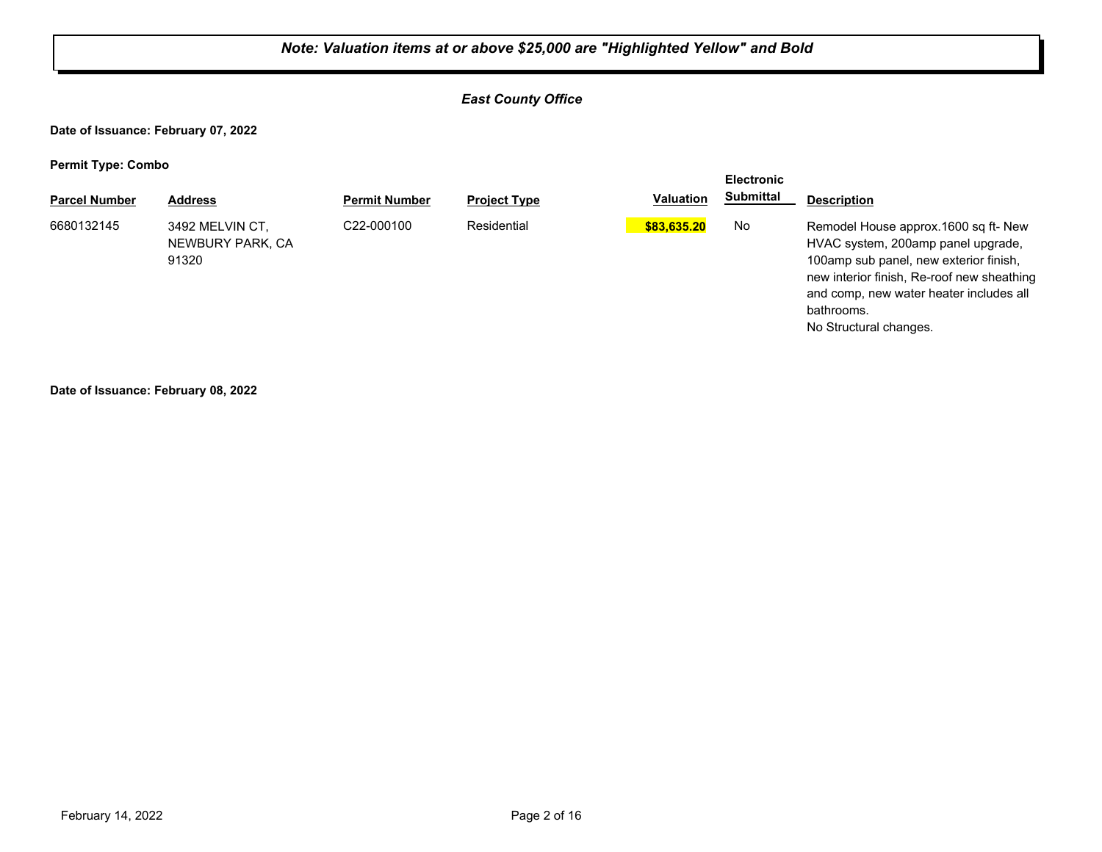## *East County Office*

**Date of Issuance: February 07, 2022**

**Permit Type: Combo**

| . .                  |                                              |                      |                     |                  | <b>Electronic</b> |                                                                                                                                                                                                                                                       |
|----------------------|----------------------------------------------|----------------------|---------------------|------------------|-------------------|-------------------------------------------------------------------------------------------------------------------------------------------------------------------------------------------------------------------------------------------------------|
| <b>Parcel Number</b> | <b>Address</b>                               | <b>Permit Number</b> | <b>Project Type</b> | <b>Valuation</b> | Submittal         | <b>Description</b>                                                                                                                                                                                                                                    |
| 6680132145           | 3492 MELVIN CT,<br>NEWBURY PARK, CA<br>91320 | C22-000100           | Residential         | \$83,635.20      | No                | Remodel House approx.1600 sq ft- New<br>HVAC system, 200amp panel upgrade,<br>100amp sub panel, new exterior finish,<br>new interior finish, Re-roof new sheathing<br>and comp, new water heater includes all<br>bathrooms.<br>No Structural changes. |

**Date of Issuance: February 08, 2022**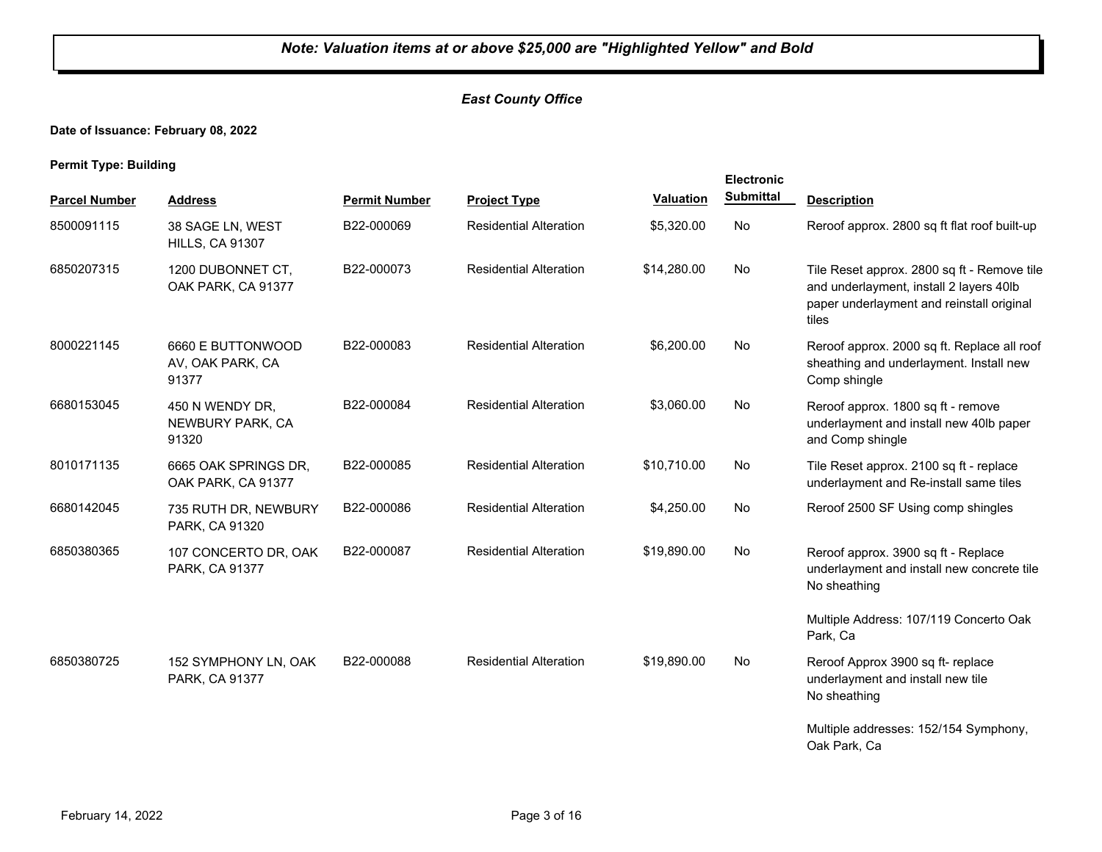## *East County Office*

## **Date of Issuance: February 08, 2022**

|                      |                                                | <b>Electronic</b>    |                               |                  |                  |                                                                                                                                              |
|----------------------|------------------------------------------------|----------------------|-------------------------------|------------------|------------------|----------------------------------------------------------------------------------------------------------------------------------------------|
| <b>Parcel Number</b> | <b>Address</b>                                 | <b>Permit Number</b> | <b>Project Type</b>           | <b>Valuation</b> | <b>Submittal</b> | <b>Description</b>                                                                                                                           |
| 8500091115           | 38 SAGE LN, WEST<br><b>HILLS, CA 91307</b>     | B22-000069           | <b>Residential Alteration</b> | \$5,320.00       | No               | Reroof approx. 2800 sq ft flat roof built-up                                                                                                 |
| 6850207315           | 1200 DUBONNET CT,<br>OAK PARK, CA 91377        | B22-000073           | <b>Residential Alteration</b> | \$14,280.00      | No               | Tile Reset approx. 2800 sq ft - Remove tile<br>and underlayment, install 2 layers 40lb<br>paper underlayment and reinstall original<br>tiles |
| 8000221145           | 6660 E BUTTONWOOD<br>AV, OAK PARK, CA<br>91377 | B22-000083           | <b>Residential Alteration</b> | \$6,200.00       | No               | Reroof approx. 2000 sq ft. Replace all roof<br>sheathing and underlayment. Install new<br>Comp shingle                                       |
| 6680153045           | 450 N WENDY DR,<br>NEWBURY PARK, CA<br>91320   | B22-000084           | <b>Residential Alteration</b> | \$3,060.00       | No               | Reroof approx. 1800 sq ft - remove<br>underlayment and install new 40lb paper<br>and Comp shingle                                            |
| 8010171135           | 6665 OAK SPRINGS DR,<br>OAK PARK, CA 91377     | B22-000085           | <b>Residential Alteration</b> | \$10.710.00      | <b>No</b>        | Tile Reset approx. 2100 sq ft - replace<br>underlayment and Re-install same tiles                                                            |
| 6680142045           | 735 RUTH DR, NEWBURY<br>PARK, CA 91320         | B22-000086           | <b>Residential Alteration</b> | \$4,250.00       | No               | Reroof 2500 SF Using comp shingles                                                                                                           |
| 6850380365           | 107 CONCERTO DR, OAK<br>PARK, CA 91377         | B22-000087           | <b>Residential Alteration</b> | \$19,890.00      | <b>No</b>        | Reroof approx. 3900 sq ft - Replace<br>underlayment and install new concrete tile<br>No sheathing                                            |
|                      |                                                |                      |                               |                  |                  | Multiple Address: 107/119 Concerto Oak<br>Park, Ca                                                                                           |
| 6850380725           | 152 SYMPHONY LN, OAK<br>PARK, CA 91377         | B22-000088           | <b>Residential Alteration</b> | \$19,890.00      | No               | Reroof Approx 3900 sq ft- replace<br>underlayment and install new tile<br>No sheathing                                                       |
|                      |                                                |                      |                               |                  |                  | Multiple addresses: 152/154 Symphony,<br>Oak Park, Ca                                                                                        |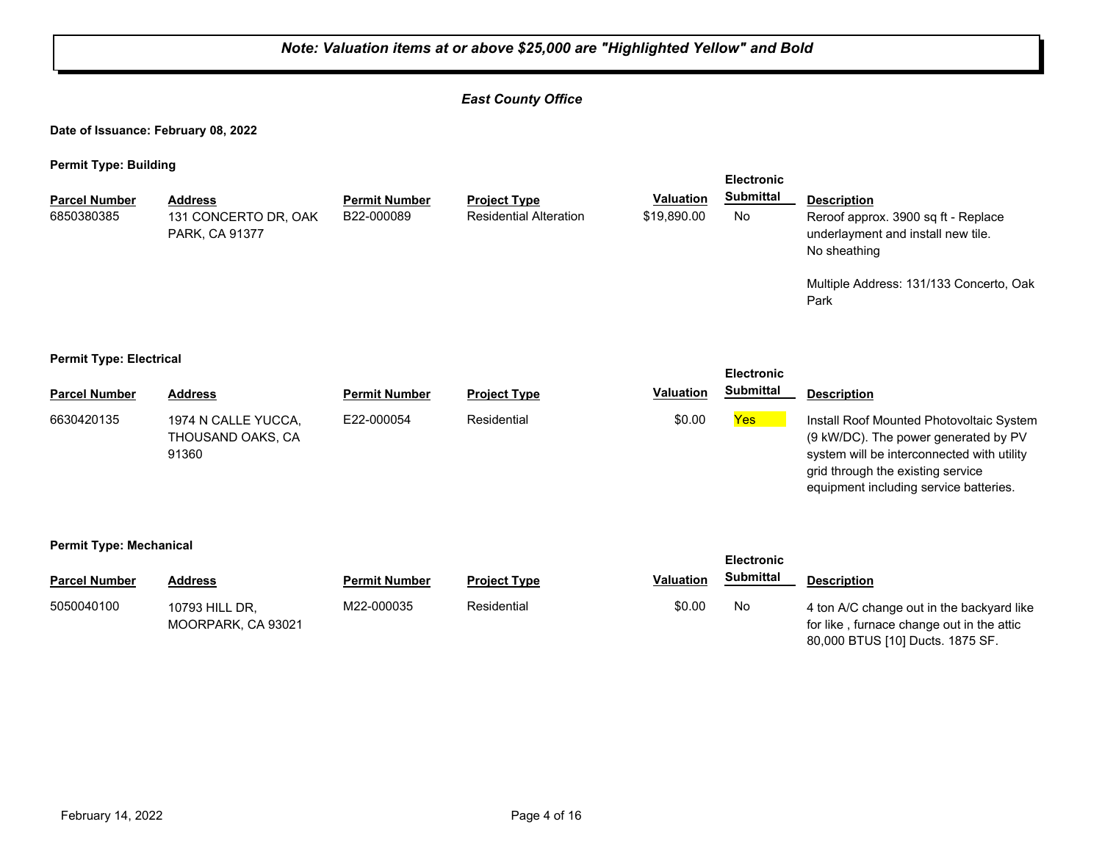## *East County Office*

**Date of Issuance: February 08, 2022**

**Permit Type: Building**

| <b>Parcel Number</b><br>6850380385                  | <b>Address</b><br>131 CONCERTO DR, OAK<br>PARK, CA 91377 | <b>Permit Number</b><br>B22-000089 | <b>Project Type</b><br><b>Residential Alteration</b> | <b>Valuation</b><br>\$19,890.00 | <b>Electronic</b><br><b>Submittal</b><br>No | <b>Description</b><br>Reroof approx. 3900 sq ft - Replace<br>underlayment and install new tile.<br>No sheathing<br>Multiple Address: 131/133 Concerto, Oak<br>Park                                            |  |  |  |
|-----------------------------------------------------|----------------------------------------------------------|------------------------------------|------------------------------------------------------|---------------------------------|---------------------------------------------|---------------------------------------------------------------------------------------------------------------------------------------------------------------------------------------------------------------|--|--|--|
| <b>Permit Type: Electrical</b><br><b>Electronic</b> |                                                          |                                    |                                                      |                                 |                                             |                                                                                                                                                                                                               |  |  |  |
| <b>Parcel Number</b>                                | <b>Address</b>                                           | <b>Permit Number</b>               | <b>Project Type</b>                                  | <b>Valuation</b>                | <b>Submittal</b>                            | <b>Description</b>                                                                                                                                                                                            |  |  |  |
| 6630420135                                          | 1974 N CALLE YUCCA.<br>THOUSAND OAKS, CA<br>91360        | E22-000054                         | Residential                                          | \$0.00                          | Yes                                         | Install Roof Mounted Photovoltaic System<br>(9 kW/DC). The power generated by PV<br>system will be interconnected with utility<br>grid through the existing service<br>equipment including service batteries. |  |  |  |
| <b>Permit Type: Mechanical</b><br><b>Electronic</b> |                                                          |                                    |                                                      |                                 |                                             |                                                                                                                                                                                                               |  |  |  |
| <b>Parcel Number</b>                                | <b>Address</b>                                           | <b>Permit Number</b>               | <b>Project Type</b>                                  | <b>Valuation</b>                | <b>Submittal</b>                            | <b>Description</b>                                                                                                                                                                                            |  |  |  |
| 5050040100                                          | 10793 HILL DR,<br>MOORPARK, CA 93021                     | M22-000035                         | Residential                                          | \$0.00                          | No                                          | 4 ton A/C change out in the backyard like<br>for like, furnace change out in the attic                                                                                                                        |  |  |  |

80,000 BTUS [10] Ducts. 1875 SF.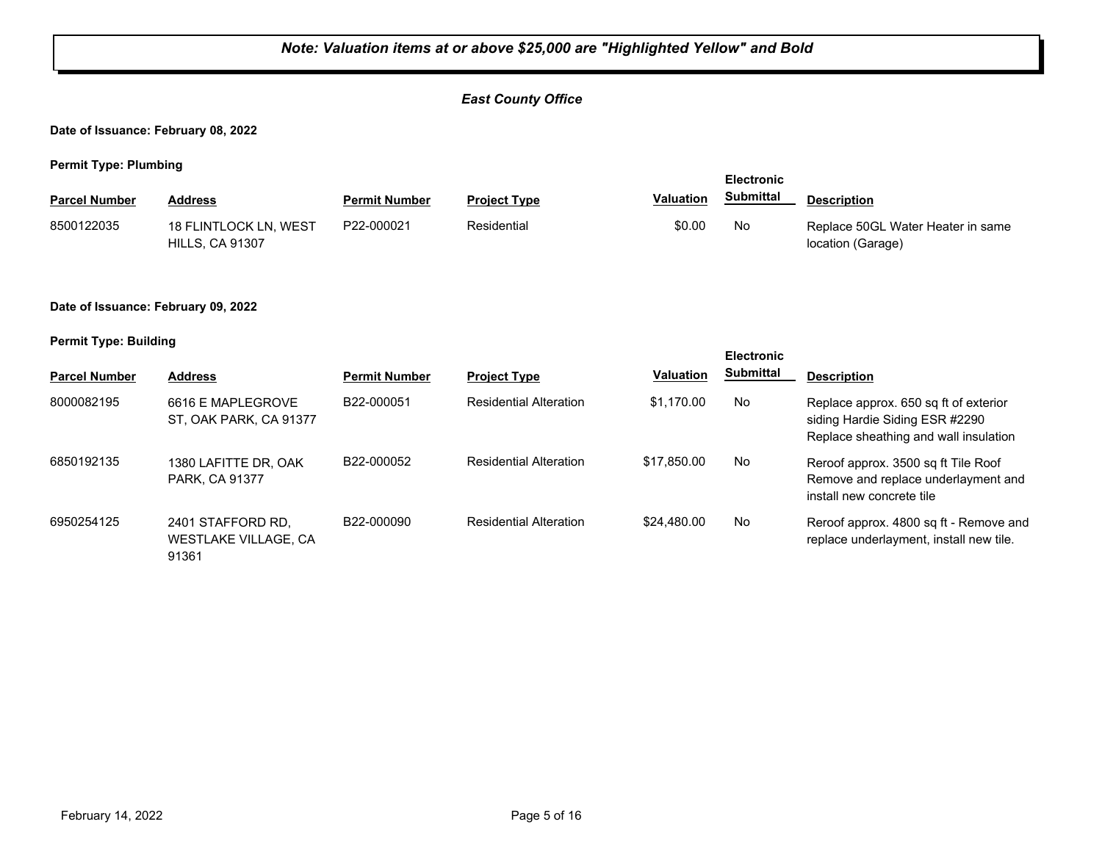## *East County Office*

#### **Date of Issuance: February 08, 2022**

**Permit Type: Plumbing**

|                      |                                                 |                      |                     | <b>Electronic</b> |           |                                                        |
|----------------------|-------------------------------------------------|----------------------|---------------------|-------------------|-----------|--------------------------------------------------------|
| <b>Parcel Number</b> | Address                                         | <b>Permit Number</b> | <b>Project Type</b> | <b>Valuation</b>  | Submittal | <b>Description</b>                                     |
| 8500122035           | 18 FLINTLOCK LN, WEST<br><b>HILLS, CA 91307</b> | P22-000021           | Residential         | \$0.00            | No        | Replace 50GL Water Heater in same<br>location (Garage) |

#### **Date of Issuance: February 09, 2022**

|                      |                                                    |                      |                               |                  | <b>Electronic</b> |                                                                                                                  |
|----------------------|----------------------------------------------------|----------------------|-------------------------------|------------------|-------------------|------------------------------------------------------------------------------------------------------------------|
| <b>Parcel Number</b> | <b>Address</b>                                     | <b>Permit Number</b> | <b>Project Type</b>           | <b>Valuation</b> | <b>Submittal</b>  | <b>Description</b>                                                                                               |
| 8000082195           | 6616 E MAPLEGROVE<br>ST, OAK PARK, CA 91377        | B22-000051           | <b>Residential Alteration</b> | \$1.170.00       | No                | Replace approx. 650 sq ft of exterior<br>siding Hardie Siding ESR #2290<br>Replace sheathing and wall insulation |
| 6850192135           | 1380 LAFITTE DR, OAK<br>PARK, CA 91377             | B22-000052           | <b>Residential Alteration</b> | \$17,850,00      | No                | Reroof approx. 3500 sq ft Tile Roof<br>Remove and replace underlayment and<br>install new concrete tile          |
| 6950254125           | 2401 STAFFORD RD.<br>WESTLAKE VILLAGE, CA<br>91361 | B22-000090           | <b>Residential Alteration</b> | \$24,480.00      | No                | Reroof approx. 4800 sq ft - Remove and<br>replace underlayment, install new tile.                                |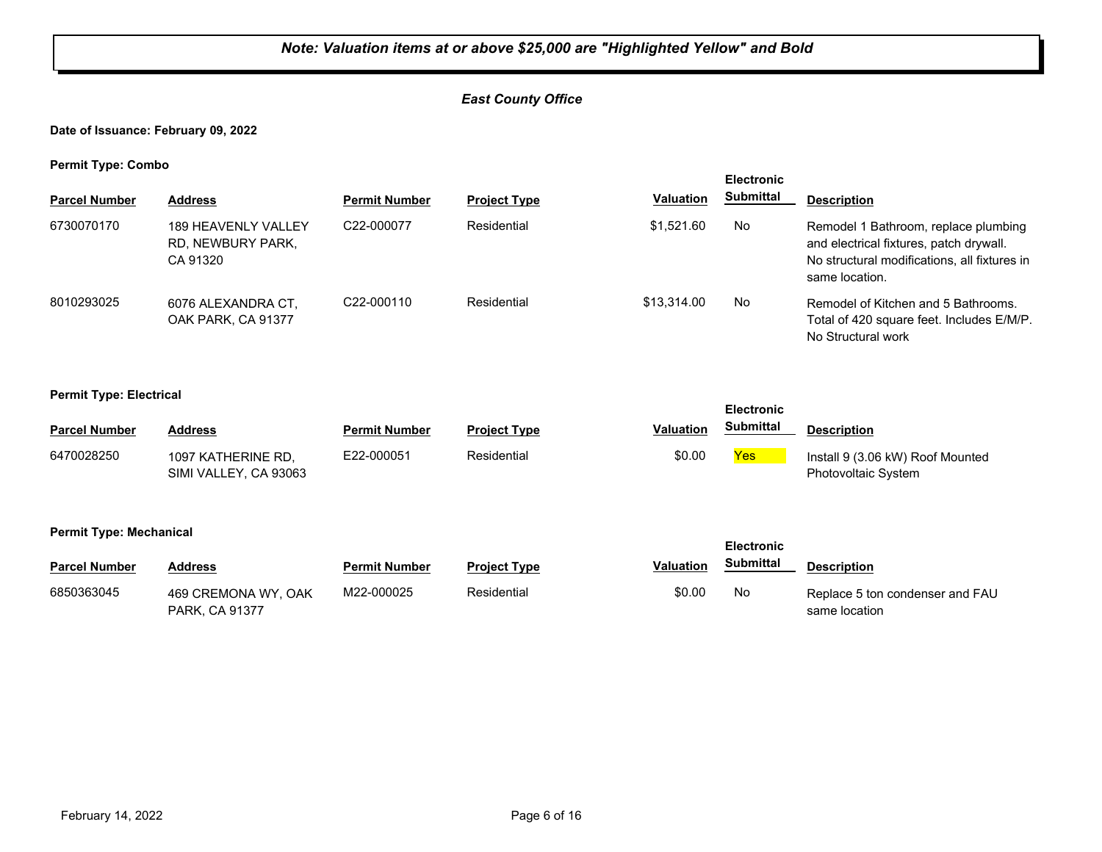## *East County Office*

## **Date of Issuance: February 09, 2022**

**Permit Type: Combo**

| <b>Electronic</b>    |                                                             |                         |                     |                  |           |                                                                                                                                                   |
|----------------------|-------------------------------------------------------------|-------------------------|---------------------|------------------|-----------|---------------------------------------------------------------------------------------------------------------------------------------------------|
| <b>Parcel Number</b> | <b>Address</b>                                              | <b>Permit Number</b>    | <b>Project Type</b> | <b>Valuation</b> | Submittal | <b>Description</b>                                                                                                                                |
| 6730070170           | <b>189 HEAVENLY VALLEY</b><br>RD, NEWBURY PARK,<br>CA 91320 | C22-000077              | Residential         | \$1.521.60       | No        | Remodel 1 Bathroom, replace plumbing<br>and electrical fixtures, patch drywall.<br>No structural modifications, all fixtures in<br>same location. |
| 8010293025           | 6076 ALEXANDRA CT.<br>OAK PARK, CA 91377                    | C <sub>22</sub> -000110 | Residential         | \$13,314.00      | No        | Remodel of Kitchen and 5 Bathrooms.<br>Total of 420 square feet. Includes E/M/P.<br>No Structural work                                            |

#### **Permit Type: Electrical**

| __                   |                                             |                      |                     |                  | <b>Electronic</b> |                                                         |
|----------------------|---------------------------------------------|----------------------|---------------------|------------------|-------------------|---------------------------------------------------------|
| <b>Parcel Number</b> | <b>Address</b>                              | <b>Permit Number</b> | <b>Project Type</b> | <b>Valuation</b> | Submittal         | <b>Description</b>                                      |
| 6470028250           | 1097 KATHERINE RD.<br>SIMI VALLEY, CA 93063 | E22-000051           | Residential         | \$0.00           | Yes               | Install 9 (3.06 kW) Roof Mounted<br>Photovoltaic System |

#### **Permit Type: Mechanical**

| ___                  |                                              |                      |                     |                  | <b>Electronic</b> |                                                  |
|----------------------|----------------------------------------------|----------------------|---------------------|------------------|-------------------|--------------------------------------------------|
| <b>Parcel Number</b> | <b>Address</b>                               | <b>Permit Number</b> | <b>Project Type</b> | <b>Valuation</b> | <b>Submittal</b>  | <b>Description</b>                               |
| 6850363045           | 469 CREMONA WY, OAK<br><b>PARK, CA 91377</b> | M22-000025           | Residential         | \$0.00           | No                | Replace 5 ton condenser and FAU<br>same location |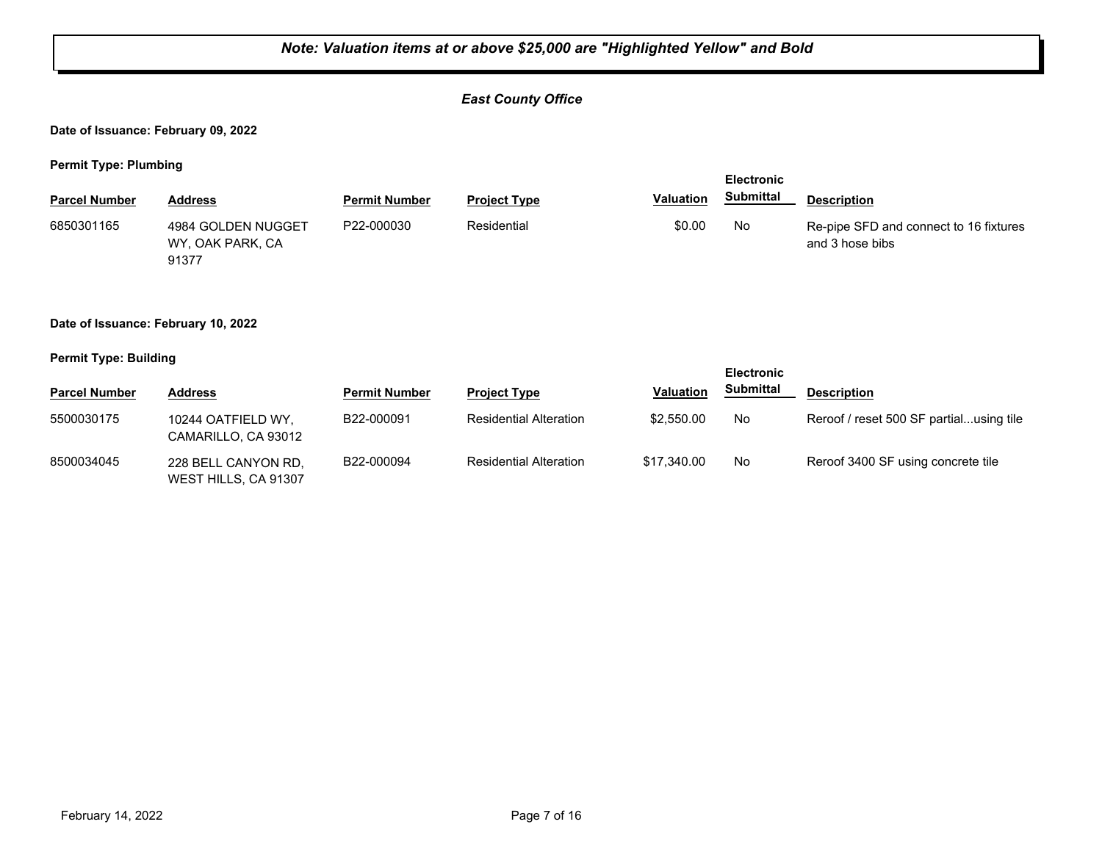## *East County Office*

**Date of Issuance: February 09, 2022**

**Permit Type: Plumbing**

|                      |                                                 |                      |                     |                  | <b>Electronic</b> |                                                           |  |
|----------------------|-------------------------------------------------|----------------------|---------------------|------------------|-------------------|-----------------------------------------------------------|--|
| <b>Parcel Number</b> | Address                                         | <b>Permit Number</b> | <b>Project Type</b> | <b>Valuation</b> | <b>Submittal</b>  | <b>Description</b>                                        |  |
| 6850301165           | 4984 GOLDEN NUGGET<br>WY, OAK PARK, CA<br>91377 | P22-000030           | Residential         | \$0.00           | No                | Re-pipe SFD and connect to 16 fixtures<br>and 3 hose bibs |  |

#### **Date of Issuance: February 10, 2022**

#### **Permit Type: Building**

|                      |                                             |                      |                               |                  | <b>Electronic</b> |                                         |
|----------------------|---------------------------------------------|----------------------|-------------------------------|------------------|-------------------|-----------------------------------------|
| <b>Parcel Number</b> | Address                                     | <b>Permit Number</b> | <b>Project Type</b>           | <b>Valuation</b> | Submittal         | <b>Description</b>                      |
| 5500030175           | 10244 OATFIELD WY.<br>CAMARILLO, CA 93012   | B22-000091           | <b>Residential Alteration</b> | \$2,550.00       | No                | Reroof / reset 500 SF partialusing tile |
| 8500034045           | 228 BELL CANYON RD.<br>WEST HILLS, CA 91307 | B22-000094           | <b>Residential Alteration</b> | \$17,340.00      | No                | Reroof 3400 SF using concrete tile      |

**Electronic**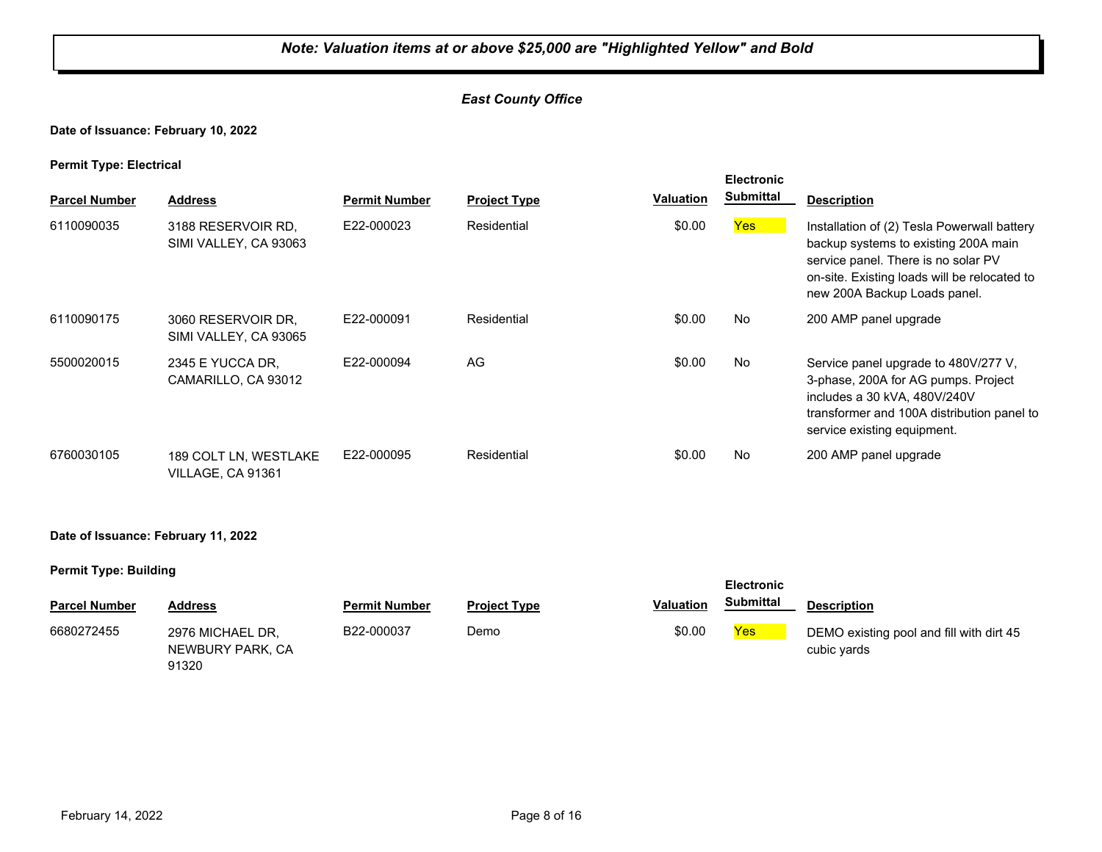## *East County Office*

#### **Date of Issuance: February 10, 2022**

#### **Permit Type: Electrical**

| . .<br><b>Parcel Number</b> | <b>Address</b>                              | <b>Permit Number</b> | <b>Project Type</b> | Valuation | <b>Electronic</b><br><b>Submittal</b> | <b>Description</b>                                                                                                                                                                                         |
|-----------------------------|---------------------------------------------|----------------------|---------------------|-----------|---------------------------------------|------------------------------------------------------------------------------------------------------------------------------------------------------------------------------------------------------------|
| 6110090035                  | 3188 RESERVOIR RD.<br>SIMI VALLEY, CA 93063 | E22-000023           | Residential         | \$0.00    | Yes                                   | Installation of (2) Tesla Powerwall battery<br>backup systems to existing 200A main<br>service panel. There is no solar PV<br>on-site. Existing loads will be relocated to<br>new 200A Backup Loads panel. |
| 6110090175                  | 3060 RESERVOIR DR.<br>SIMI VALLEY, CA 93065 | E22-000091           | Residential         | \$0.00    | No                                    | 200 AMP panel upgrade                                                                                                                                                                                      |
| 5500020015                  | 2345 E YUCCA DR.<br>CAMARILLO, CA 93012     | E22-000094           | AG                  | \$0.00    | No                                    | Service panel upgrade to 480V/277 V,<br>3-phase, 200A for AG pumps. Project<br>includes a 30 kVA, 480V/240V<br>transformer and 100A distribution panel to<br>service existing equipment.                   |
| 6760030105                  | 189 COLT LN, WESTLAKE<br>VILLAGE, CA 91361  | E22-000095           | Residential         | \$0.00    | No                                    | 200 AMP panel upgrade                                                                                                                                                                                      |

#### **Date of Issuance: February 11, 2022**

| ___                  |                                               |                      |                     |                  | <b>Electronic</b> |                                                         |
|----------------------|-----------------------------------------------|----------------------|---------------------|------------------|-------------------|---------------------------------------------------------|
| <b>Parcel Number</b> | <b>Address</b>                                | <b>Permit Number</b> | <b>Project Type</b> | <b>Valuation</b> | Submittal         | <b>Description</b>                                      |
| 6680272455           | 2976 MICHAEL DR.<br>NEWBURY PARK, CA<br>91320 | B22-000037           | Demo                | \$0.00           | <b>Yes</b>        | DEMO existing pool and fill with dirt 45<br>cubic yards |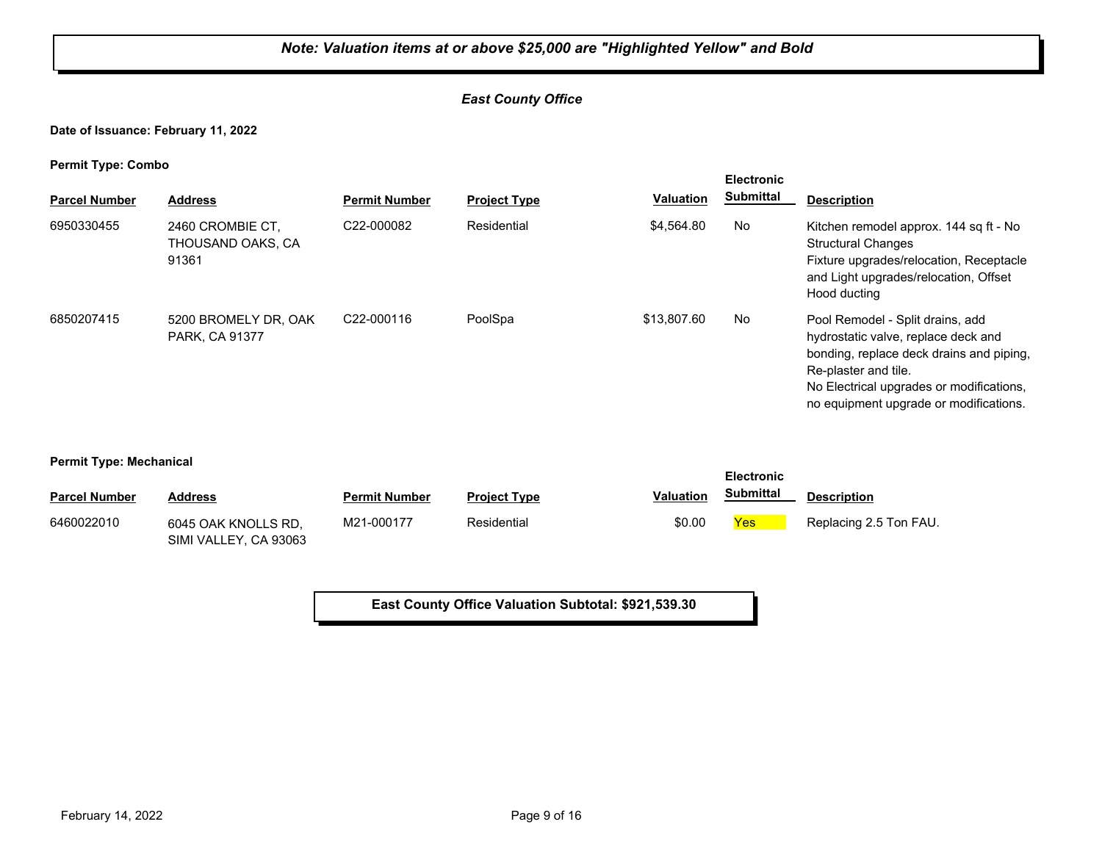## *East County Office*

**Date of Issuance: February 11, 2022**

**Permit Type: Combo**

| . .<br><b>Parcel Number</b> | <b>Address</b>                                 | <b>Permit Number</b>    | <b>Project Type</b> | <b>Valuation</b> | <b>Electronic</b><br><b>Submittal</b> | <b>Description</b>                                                                                                                                                                                                                |
|-----------------------------|------------------------------------------------|-------------------------|---------------------|------------------|---------------------------------------|-----------------------------------------------------------------------------------------------------------------------------------------------------------------------------------------------------------------------------------|
| 6950330455                  | 2460 CROMBIE CT.<br>THOUSAND OAKS. CA<br>91361 | C22-000082              | Residential         | \$4,564.80       | No                                    | Kitchen remodel approx. 144 sq ft - No<br><b>Structural Changes</b><br>Fixture upgrades/relocation, Receptacle<br>and Light upgrades/relocation, Offset<br>Hood ducting                                                           |
| 6850207415                  | 5200 BROMELY DR. OAK<br><b>PARK, CA 91377</b>  | C <sub>22</sub> -000116 | PoolSpa             | \$13,807.60      | No                                    | Pool Remodel - Split drains, add<br>hydrostatic valve, replace deck and<br>bonding, replace deck drains and piping,<br>Re-plaster and tile.<br>No Electrical upgrades or modifications,<br>no equipment upgrade or modifications. |

#### **Permit Type: Mechanical**

| . .                  |                                              | <b>Electronic</b>    |                     |                  |                  |                        |
|----------------------|----------------------------------------------|----------------------|---------------------|------------------|------------------|------------------------|
| <b>Parcel Number</b> | <b>Address</b>                               | <b>Permit Number</b> | <b>Project Type</b> | <b>Valuation</b> | <b>Submittal</b> | <b>Description</b>     |
| 6460022010           | 6045 OAK KNOLLS RD.<br>SIMI VALLEY, CA 93063 | M21-000177           | Residential         | \$0.00           | <u>Yes</u>       | Replacing 2.5 Ton FAU. |

**East County Office Valuation Subtotal: \$921,539.30**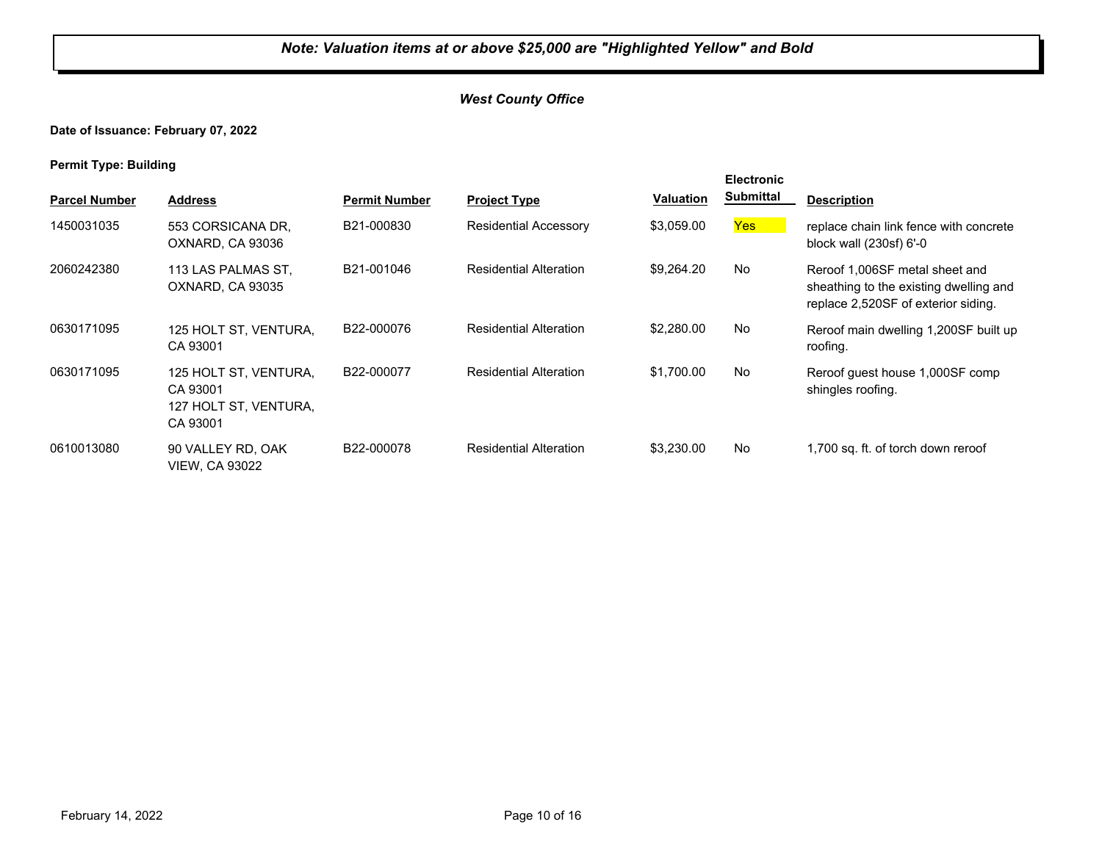## *West County Office*

## **Date of Issuance: February 07, 2022**

| . .                  |                                                                        |                      |                               |                  | <b>Electronic</b> |                                                                                                                 |
|----------------------|------------------------------------------------------------------------|----------------------|-------------------------------|------------------|-------------------|-----------------------------------------------------------------------------------------------------------------|
| <b>Parcel Number</b> | <b>Address</b>                                                         | <b>Permit Number</b> | <b>Project Type</b>           | <b>Valuation</b> | <b>Submittal</b>  | <b>Description</b>                                                                                              |
| 1450031035           | 553 CORSICANA DR.<br>OXNARD, CA 93036                                  | B21-000830           | <b>Residential Accessory</b>  | \$3,059.00       | Yes               | replace chain link fence with concrete<br>block wall (230sf) 6'-0                                               |
| 2060242380           | 113 LAS PALMAS ST.<br>OXNARD, CA 93035                                 | B21-001046           | <b>Residential Alteration</b> | \$9,264.20       | No                | Reroof 1,006SF metal sheet and<br>sheathing to the existing dwelling and<br>replace 2,520SF of exterior siding. |
| 0630171095           | 125 HOLT ST, VENTURA,<br>CA 93001                                      | B22-000076           | <b>Residential Alteration</b> | \$2,280.00       | No                | Reroof main dwelling 1,200SF built up<br>roofing.                                                               |
| 0630171095           | 125 HOLT ST, VENTURA,<br>CA 93001<br>127 HOLT ST, VENTURA,<br>CA 93001 | B22-000077           | <b>Residential Alteration</b> | \$1,700.00       | No                | Reroof quest house 1,000SF comp<br>shingles roofing.                                                            |
| 0610013080           | 90 VALLEY RD, OAK<br>VIEW, CA 93022                                    | B22-000078           | <b>Residential Alteration</b> | \$3,230.00       | No                | 1,700 sq. ft. of torch down reroof                                                                              |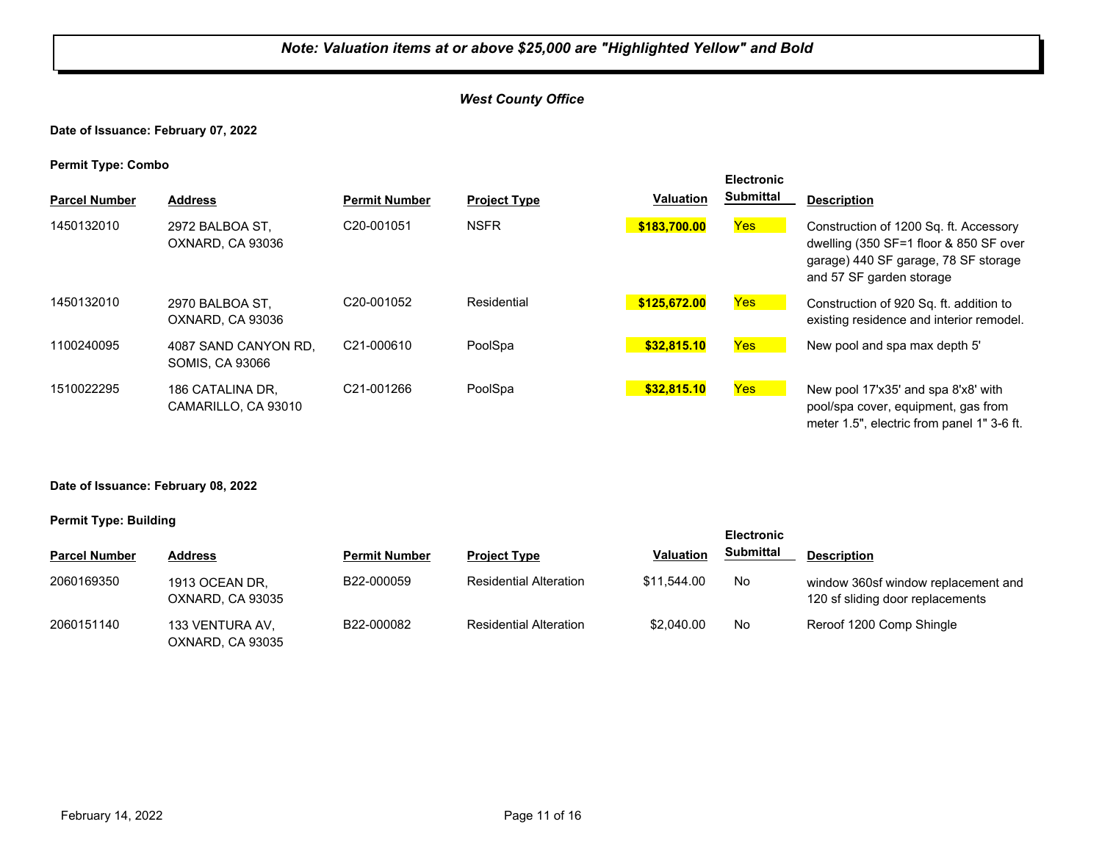## *West County Office*

#### **Date of Issuance: February 07, 2022**

**Permit Type: Combo**

| <b>Parcel Number</b> | <b>Address</b>                                 | <b>Permit Number</b>    | <b>Project Type</b> | <b>Valuation</b> | <b>Electronic</b><br><b>Submittal</b> | <b>Description</b>                                                                                                                                   |
|----------------------|------------------------------------------------|-------------------------|---------------------|------------------|---------------------------------------|------------------------------------------------------------------------------------------------------------------------------------------------------|
| 1450132010           | 2972 BALBOA ST.<br>OXNARD, CA 93036            | C20-001051              | <b>NSFR</b>         | \$183,700.00     | <b>Yes</b>                            | Construction of 1200 Sq. ft. Accessory<br>dwelling (350 SF=1 floor & 850 SF over<br>garage) 440 SF garage, 78 SF storage<br>and 57 SF garden storage |
| 1450132010           | 2970 BALBOA ST.<br>OXNARD, CA 93036            | C <sub>20</sub> -001052 | Residential         | \$125,672.00     | Yes                                   | Construction of 920 Sq. ft. addition to<br>existing residence and interior remodel.                                                                  |
| 1100240095           | 4087 SAND CANYON RD.<br><b>SOMIS, CA 93066</b> | C21-000610              | PoolSpa             | \$32,815.10      | Yes <sup>1</sup>                      | New pool and spa max depth 5'                                                                                                                        |
| 1510022295           | 186 CATALINA DR.<br>CAMARILLO, CA 93010        | C <sub>21</sub> -001266 | PoolSpa             | \$32,815.10      | Yes:                                  | New pool 17'x35' and spa 8'x8' with<br>pool/spa cover, equipment, gas from<br>meter 1.5", electric from panel 1" 3-6 ft.                             |

#### **Date of Issuance: February 08, 2022**

|                      |                                     |                      |                               |                  | <b>Electronic</b> |                                                                         |  |
|----------------------|-------------------------------------|----------------------|-------------------------------|------------------|-------------------|-------------------------------------------------------------------------|--|
| <b>Parcel Number</b> | <b>Address</b>                      | <b>Permit Number</b> | <b>Project Type</b>           | <b>Valuation</b> | <b>Submittal</b>  | <b>Description</b>                                                      |  |
| 2060169350           | 1913 OCEAN DR,<br>OXNARD, CA 93035  | B22-000059           | <b>Residential Alteration</b> | \$11.544.00      | No                | window 360sf window replacement and<br>120 sf sliding door replacements |  |
| 2060151140           | 133 VENTURA AV.<br>OXNARD, CA 93035 | B22-000082           | <b>Residential Alteration</b> | \$2,040.00       | No                | Reroof 1200 Comp Shingle                                                |  |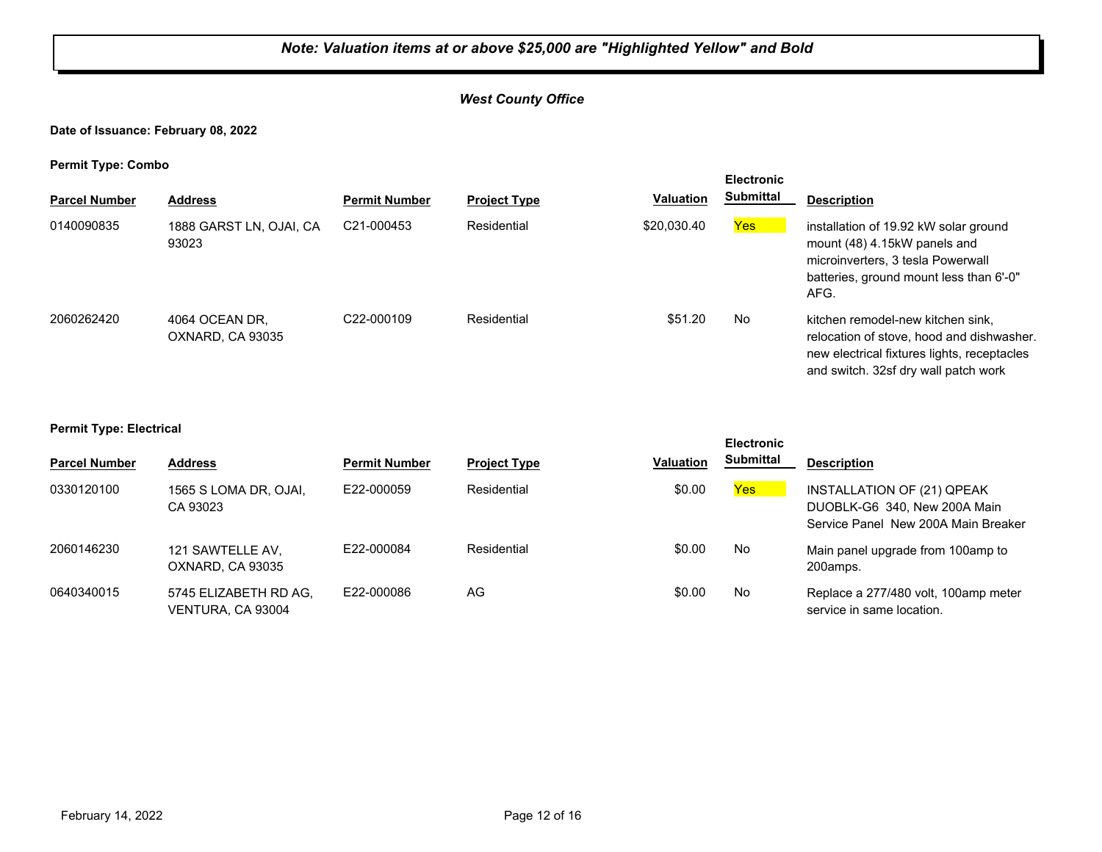## *West County Office*

#### **Date of Issuance: February 08, 2022**

**Permit Type: Combo**

|                      |                                    |                         |                     |                  | <b>Electronic</b> |                                                                                                                                                                       |
|----------------------|------------------------------------|-------------------------|---------------------|------------------|-------------------|-----------------------------------------------------------------------------------------------------------------------------------------------------------------------|
| <b>Parcel Number</b> | <b>Address</b>                     | <b>Permit Number</b>    | <b>Project Type</b> | <b>Valuation</b> | Submittal         | <b>Description</b>                                                                                                                                                    |
| 0140090835           | 1888 GARST LN, OJAI, CA<br>93023   | C21-000453              | Residential         | \$20,030.40      | Yes               | installation of 19.92 kW solar ground<br>mount (48) 4.15kW panels and<br>microinverters, 3 tesla Powerwall<br>batteries, ground mount less than 6'-0"<br>AFG.         |
| 2060262420           | 4064 OCEAN DR.<br>OXNARD, CA 93035 | C <sub>22</sub> -000109 | Residential         | \$51.20          | No                | kitchen remodel-new kitchen sink,<br>relocation of stove, hood and dishwasher.<br>new electrical fixtures lights, receptacles<br>and switch. 32sf dry wall patch work |

#### **Permit Type: Electrical**

|                      |                                            |                      |                     |                  | <b>Electronic</b> |                                                                                                   |
|----------------------|--------------------------------------------|----------------------|---------------------|------------------|-------------------|---------------------------------------------------------------------------------------------------|
| <b>Parcel Number</b> | <b>Address</b>                             | <b>Permit Number</b> | <b>Project Type</b> | <b>Valuation</b> | <b>Submittal</b>  | <b>Description</b>                                                                                |
| 0330120100           | 1565 S LOMA DR, OJAI,<br>CA 93023          | E22-000059           | Residential         | \$0.00           | <b>Yes</b>        | INSTALLATION OF (21) QPEAK<br>DUOBLK-G6 340, New 200A Main<br>Service Panel New 200A Main Breaker |
| 2060146230           | 121 SAWTELLE AV,<br>OXNARD, CA 93035       | E22-000084           | Residential         | \$0.00           | No                | Main panel upgrade from 100amp to<br>200amps.                                                     |
| 0640340015           | 5745 ELIZABETH RD AG.<br>VENTURA, CA 93004 | E22-000086           | AG                  | \$0.00           | No                | Replace a 277/480 volt, 100amp meter<br>service in same location.                                 |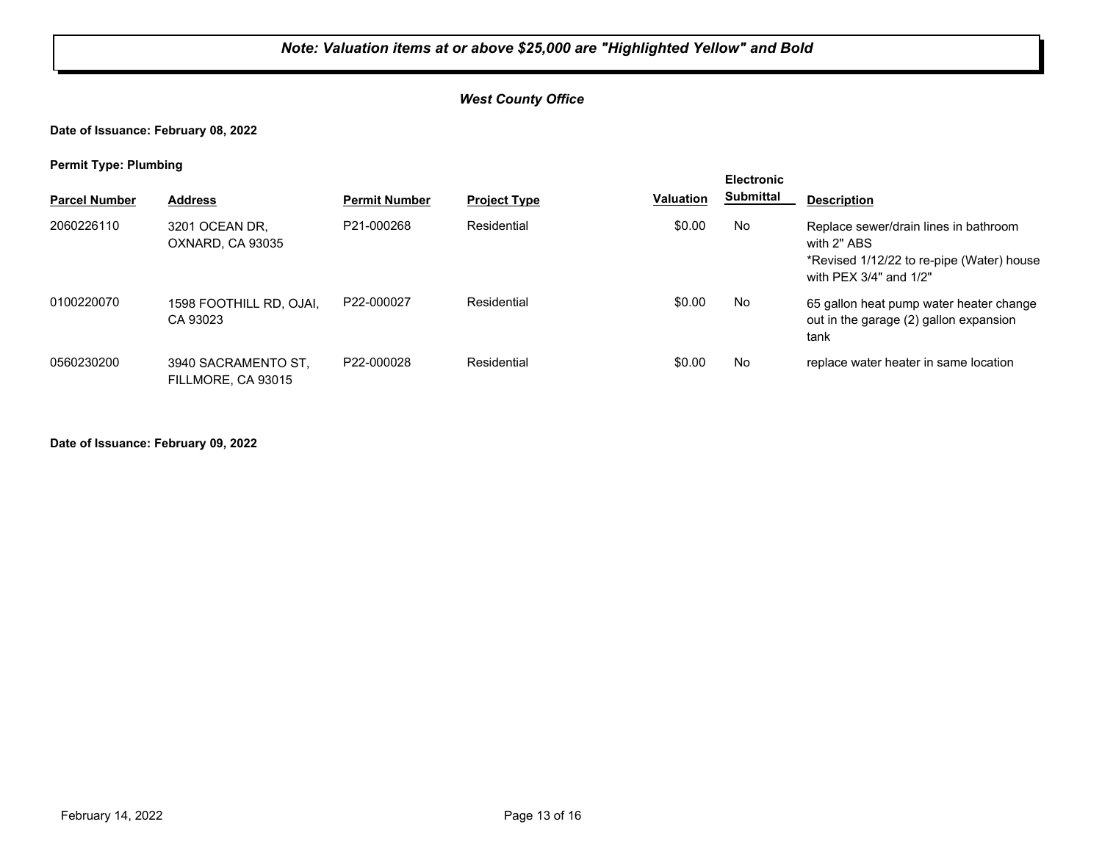## *West County Office*

#### **Date of Issuance: February 08, 2022**

**Permit Type: Plumbing**

| . .                  |                                           |                      |                     |                  | <b>Electronic</b> |                                                                                                                             |
|----------------------|-------------------------------------------|----------------------|---------------------|------------------|-------------------|-----------------------------------------------------------------------------------------------------------------------------|
| <b>Parcel Number</b> | <b>Address</b>                            | <b>Permit Number</b> | <b>Project Type</b> | <b>Valuation</b> | <b>Submittal</b>  | <b>Description</b>                                                                                                          |
| 2060226110           | 3201 OCEAN DR,<br>OXNARD, CA 93035        | P21-000268           | Residential         | \$0.00           | No                | Replace sewer/drain lines in bathroom<br>with 2" ABS<br>*Revised 1/12/22 to re-pipe (Water) house<br>with PEX 3/4" and 1/2" |
| 0100220070           | 1598 FOOTHILL RD, OJAI,<br>CA 93023       | P22-000027           | Residential         | \$0.00           | No                | 65 gallon heat pump water heater change<br>out in the garage (2) gallon expansion<br>tank                                   |
| 0560230200           | 3940 SACRAMENTO ST.<br>FILLMORE, CA 93015 | P22-000028           | Residential         | \$0.00           | No                | replace water heater in same location                                                                                       |

**Date of Issuance: February 09, 2022**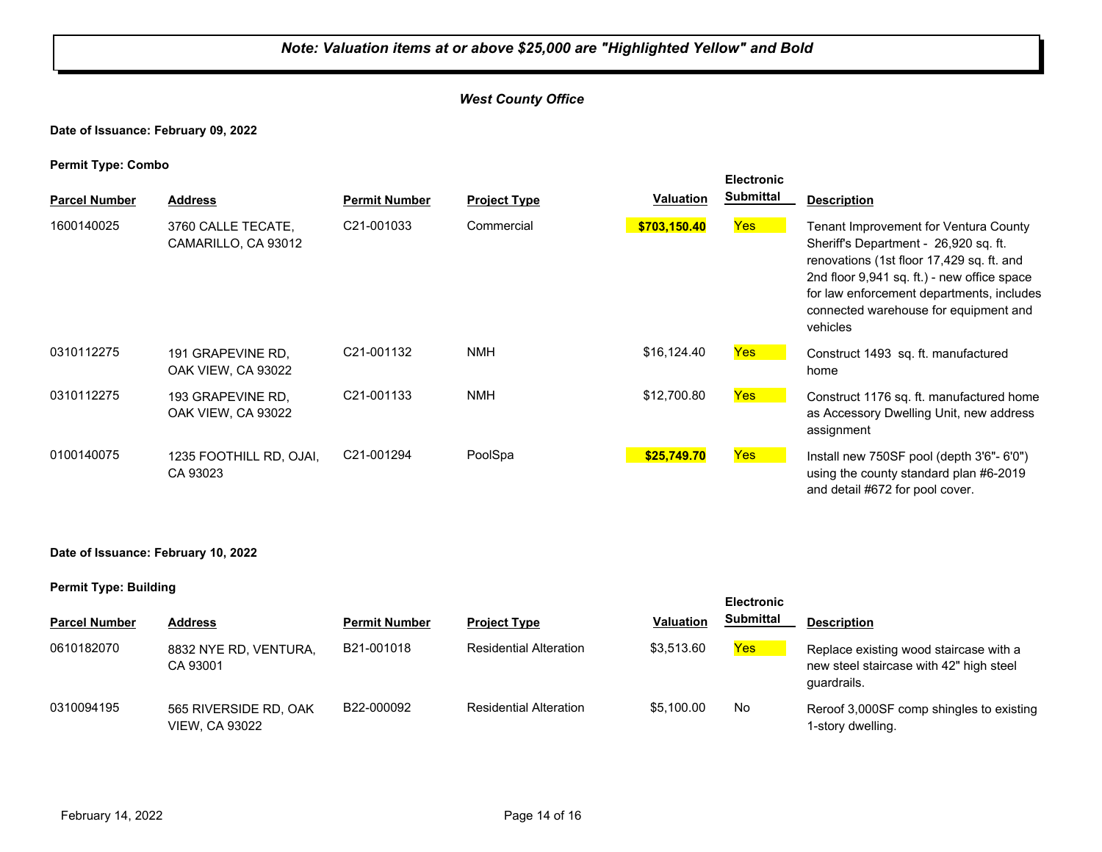## *West County Office*

**Date of Issuance: February 09, 2022**

**Permit Type: Combo**

| . .<br><b>Parcel Number</b> | <b>Address</b>                            | <b>Permit Number</b>    | <b>Project Type</b> | <b>Valuation</b> | <b>Electronic</b><br><b>Submittal</b> | <b>Description</b>                                                                                                                                                                                                                                                           |
|-----------------------------|-------------------------------------------|-------------------------|---------------------|------------------|---------------------------------------|------------------------------------------------------------------------------------------------------------------------------------------------------------------------------------------------------------------------------------------------------------------------------|
| 1600140025                  | 3760 CALLE TECATE,<br>CAMARILLO, CA 93012 | C <sub>21</sub> -001033 | Commercial          | \$703,150.40     | <b>Yes</b>                            | Tenant Improvement for Ventura County<br>Sheriff's Department - 26,920 sq. ft.<br>renovations (1st floor 17,429 sq. ft. and<br>2nd floor 9,941 sq. ft.) - new office space<br>for law enforcement departments, includes<br>connected warehouse for equipment and<br>vehicles |
| 0310112275                  | 191 GRAPEVINE RD.<br>OAK VIEW, CA 93022   | C21-001132              | <b>NMH</b>          | \$16,124.40      | <b>Yes</b>                            | Construct 1493 sq. ft. manufactured<br>home                                                                                                                                                                                                                                  |
| 0310112275                  | 193 GRAPEVINE RD.<br>OAK VIEW, CA 93022   | C21-001133              | <b>NMH</b>          | \$12,700.80      | Yes                                   | Construct 1176 sq. ft. manufactured home<br>as Accessory Dwelling Unit, new address<br>assignment                                                                                                                                                                            |
| 0100140075                  | 1235 FOOTHILL RD, OJAI,<br>CA 93023       | C21-001294              | PoolSpa             | \$25,749.70      | <b>Yes</b>                            | Install new $750SF$ pool (depth $3'6" - 6'0"$ )<br>using the county standard plan #6-2019<br>and detail #672 for pool cover.                                                                                                                                                 |

#### **Date of Issuance: February 10, 2022**

| - -                  |                                                |                      |                               |                  | <b>Electronic</b> |                                                                                                  |
|----------------------|------------------------------------------------|----------------------|-------------------------------|------------------|-------------------|--------------------------------------------------------------------------------------------------|
| <b>Parcel Number</b> | <b>Address</b>                                 | <b>Permit Number</b> | <b>Project Type</b>           | <b>Valuation</b> | <b>Submittal</b>  | <b>Description</b>                                                                               |
| 0610182070           | 8832 NYE RD, VENTURA,<br>CA 93001              | B21-001018           | <b>Residential Alteration</b> | \$3.513.60       | Yes               | Replace existing wood staircase with a<br>new steel staircase with 42" high steel<br>quardrails. |
| 0310094195           | 565 RIVERSIDE RD, OAK<br><b>VIEW, CA 93022</b> | B22-000092           | <b>Residential Alteration</b> | \$5.100.00       | No                | Reroof 3,000SF comp shingles to existing<br>1-story dwelling.                                    |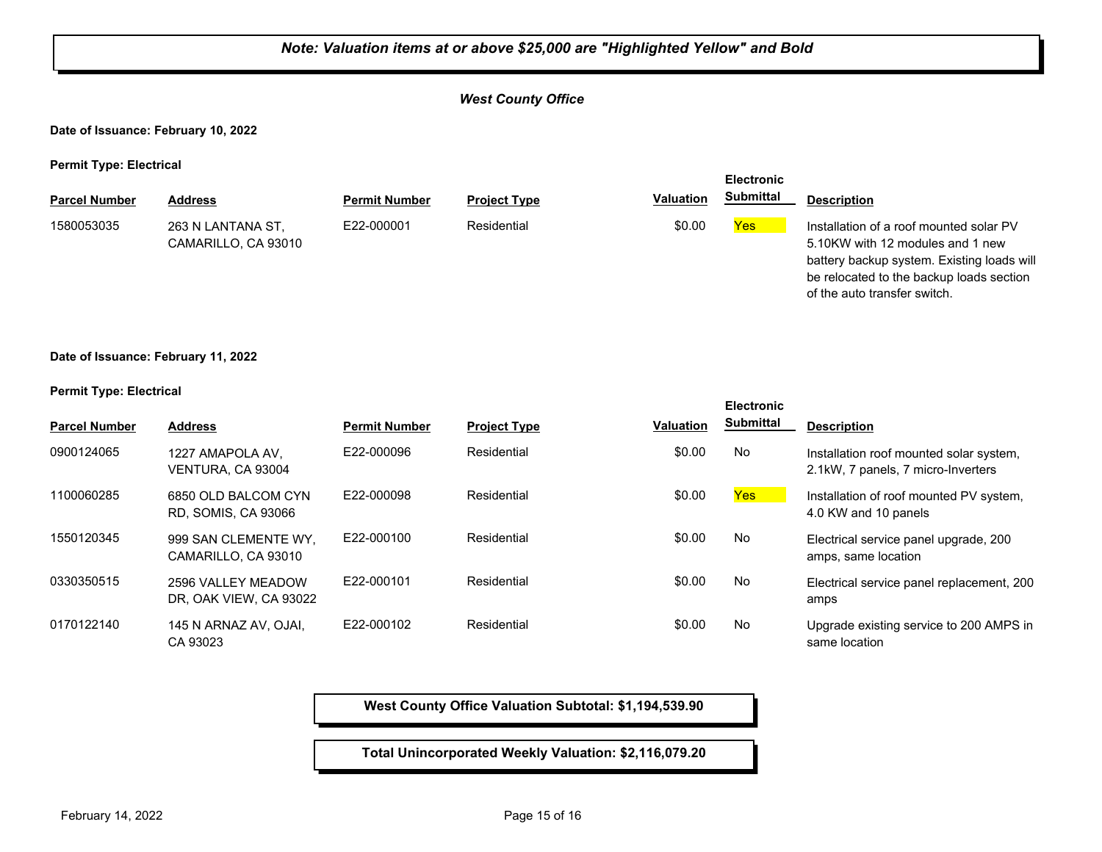#### *West County Office*

**Date of Issuance: February 10, 2022**

**Permit Type: Electrical**

|                      |                                          |                      |                     |                  | <b>Electronic</b> |                                                                                                                                                                                                       |
|----------------------|------------------------------------------|----------------------|---------------------|------------------|-------------------|-------------------------------------------------------------------------------------------------------------------------------------------------------------------------------------------------------|
| <b>Parcel Number</b> | <b>Address</b>                           | <b>Permit Number</b> | <b>Project Type</b> | <b>Valuation</b> | <b>Submittal</b>  | <b>Description</b>                                                                                                                                                                                    |
| 1580053035           | 263 N LANTANA ST,<br>CAMARILLO, CA 93010 | E22-000001           | Residential         | \$0.00           | Yes               | Installation of a roof mounted solar PV<br>5.10KW with 12 modules and 1 new<br>battery backup system. Existing loads will<br>be relocated to the backup loads section<br>of the auto transfer switch. |

**Date of Issuance: February 11, 2022**

#### **Permit Type: Electrical**

|                      |                                                   |                      |                     |                  | <b>Electronic</b> |                                                                               |
|----------------------|---------------------------------------------------|----------------------|---------------------|------------------|-------------------|-------------------------------------------------------------------------------|
| <b>Parcel Number</b> | <b>Address</b>                                    | <b>Permit Number</b> | <b>Project Type</b> | <b>Valuation</b> | <b>Submittal</b>  | <b>Description</b>                                                            |
| 0900124065           | 1227 AMAPOLA AV,<br>VENTURA, CA 93004             | E22-000096           | Residential         | \$0.00           | No                | Installation roof mounted solar system,<br>2.1kW, 7 panels, 7 micro-Inverters |
| 1100060285           | 6850 OLD BALCOM CYN<br><b>RD. SOMIS, CA 93066</b> | E22-000098           | Residential         | \$0.00           | Yes               | Installation of roof mounted PV system,<br>4.0 KW and 10 panels               |
| 1550120345           | 999 SAN CLEMENTE WY.<br>CAMARILLO, CA 93010       | E22-000100           | Residential         | \$0.00           | No                | Electrical service panel upgrade, 200<br>amps, same location                  |
| 0330350515           | 2596 VALLEY MEADOW<br>DR, OAK VIEW, CA 93022      | E22-000101           | Residential         | \$0.00           | No                | Electrical service panel replacement, 200<br>amps                             |
| 0170122140           | 145 N ARNAZ AV, OJAI,<br>CA 93023                 | E22-000102           | Residential         | \$0.00           | No                | Upgrade existing service to 200 AMPS in<br>same location                      |

**West County Office Valuation Subtotal: \$1,194,539.90**

**Total Unincorporated Weekly Valuation: \$2,116,079.20**